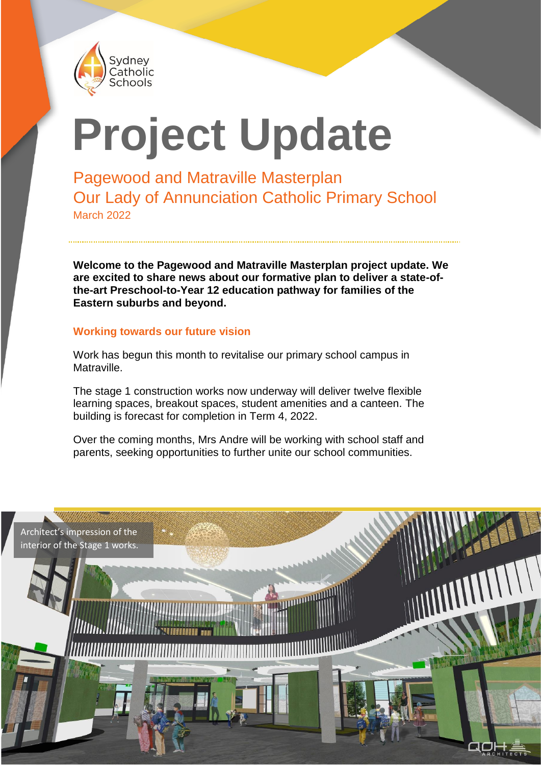

# **Project Update**

Pagewood and Matraville Masterplan Our Lady of Annunciation Catholic Primary School March 2022

**Welcome to the Pagewood and Matraville Masterplan project update. We are excited to share news about our formative plan to deliver a state-ofthe-art Preschool-to-Year 12 education pathway for families of the Eastern suburbs and beyond.**

#### **Working towards our future vision**

Work has begun this month to revitalise our primary school campus in Matraville.

The stage 1 construction works now underway will deliver twelve flexible learning spaces, breakout spaces, student amenities and a canteen. The building is forecast for completion in Term 4, 2022.

Over the coming months, Mrs Andre will be working with school staff and parents, seeking opportunities to further unite our school communities.